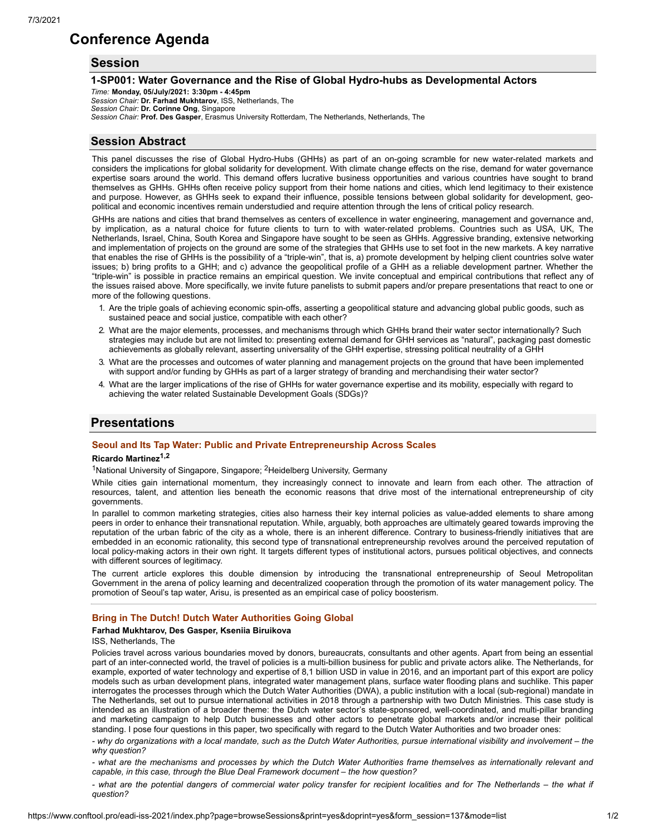# **Conference Agenda**

# **Session**

### **1-SP001: Water Governance and the Rise of Global Hydro-hubs as Developmental Actors**

*Time:* **Monday, 05/July/2021: 3:30pm - 4:45pm** *Session Chair:* **Dr. Farhad Mukhtarov**, ISS, Netherlands, The *Session Chair:* **Dr. Corinne Ong**, Singapore *Session Chair:* **Prof. Des Gasper**, Erasmus University Rotterdam, The Netherlands, Netherlands, The

# **Session Abstract**

This panel discusses the rise of Global Hydro-Hubs (GHHs) as part of an on-going scramble for new water-related markets and considers the implications for global solidarity for development. With climate change effects on the rise, demand for water governance expertise soars around the world. This demand offers lucrative business opportunities and various countries have sought to brand themselves as GHHs. GHHs often receive policy support from their home nations and cities, which lend legitimacy to their existence and purpose. However, as GHHs seek to expand their influence, possible tensions between global solidarity for development, geopolitical and economic incentives remain understudied and require attention through the lens of critical policy research.

GHHs are nations and cities that brand themselves as centers of excellence in water engineering, management and governance and, by implication, as a natural choice for future clients to turn to with water-related problems. Countries such as USA, UK, The Netherlands, Israel, China, South Korea and Singapore have sought to be seen as GHHs. Aggressive branding, extensive networking and implementation of projects on the ground are some of the strategies that GHHs use to set foot in the new markets. A key narrative that enables the rise of GHHs is the possibility of a "triple-win", that is, a) promote development by helping client countries solve water issues; b) bring profits to a GHH; and c) advance the geopolitical profile of a GHH as a reliable development partner. Whether the "triple-win" is possible in practice remains an empirical question. We invite conceptual and empirical contributions that reflect any of the issues raised above. More specifically, we invite future panelists to submit papers and/or prepare presentations that react to one or more of the following questions.

- 1. Are the triple goals of achieving economic spin-offs, asserting a geopolitical stature and advancing global public goods, such as sustained peace and social justice, compatible with each other?
- 2. What are the major elements, processes, and mechanisms through which GHHs brand their water sector internationally? Such strategies may include but are not limited to: presenting external demand for GHH services as "natural", packaging past domestic achievements as globally relevant, asserting universality of the GHH expertise, stressing political neutrality of a GHH
- 3. What are the processes and outcomes of water planning and management projects on the ground that have been implemented with support and/or funding by GHHs as part of a larger strategy of branding and merchandising their water sector?
- 4. What are the larger implications of the rise of GHHs for water governance expertise and its mobility, especially with regard to achieving the water related Sustainable Development Goals (SDGs)?

# **Presentations**

# **Seoul and Its Tap Water: Public and Private Entrepreneurship Across Scales**

#### **Ricardo Martinez 1,2**

<sup>1</sup>National University of Singapore, Singapore; <sup>2</sup>Heidelberg University, Germany

While cities gain international momentum, they increasingly connect to innovate and learn from each other. The attraction of resources, talent, and attention lies beneath the economic reasons that drive most of the international entrepreneurship of city governments.

In parallel to common marketing strategies, cities also harness their key internal policies as value-added elements to share among peers in order to enhance their transnational reputation. While, arguably, both approaches are ultimately geared towards improving the reputation of the urban fabric of the city as a whole, there is an inherent difference. Contrary to business-friendly initiatives that are embedded in an economic rationality, this second type of transnational entrepreneurship revolves around the perceived reputation of local policy-making actors in their own right. It targets different types of institutional actors, pursues political objectives, and connects with different sources of legitimacy.

The current article explores this double dimension by introducing the transnational entrepreneurship of Seoul Metropolitan Government in the arena of policy learning and decentralized cooperation through the promotion of its water management policy. The promotion of Seoul's tap water, Arisu, is presented as an empirical case of policy boosterism.

## **Bring in The Dutch! Dutch Water Authorities Going Global**

#### **Farhad Mukhtarov, Des Gasper, Kseniia Biruikova**

ISS, Netherlands, The

Policies travel across various boundaries moved by donors, bureaucrats, consultants and other agents. Apart from being an essential part of an inter-connected world, the travel of policies is a multi-billion business for public and private actors alike. The Netherlands, for example, exported of water technology and expertise of 8,1 billion USD in value in 2016, and an important part of this export are policy models such as urban development plans, integrated water management plans, surface water flooding plans and suchlike. This paper interrogates the processes through which the Dutch Water Authorities (DWA), a public institution with a local (sub-regional) mandate in The Netherlands, set out to pursue international activities in 2018 through a partnership with two Dutch Ministries. This case study is intended as an illustration of a broader theme: the Dutch water sector's state-sponsored, well-coordinated, and multi-pillar branding and marketing campaign to help Dutch businesses and other actors to penetrate global markets and/or increase their political standing. I pose four questions in this paper, two specifically with regard to the Dutch Water Authorities and two broader ones:

- why do organizations with a local mandate, such as the Dutch Water Authorities, pursue international visibility and involvement – the *why question?*

- what are the mechanisms and processes by which the Dutch Water Authorities frame themselves as internationally relevant and *capable, in this case, through the Blue Deal Framework document – the how question?*

- what are the potential dangers of commercial water policy transfer for recipient localities and for The Netherlands - the what if *question?*